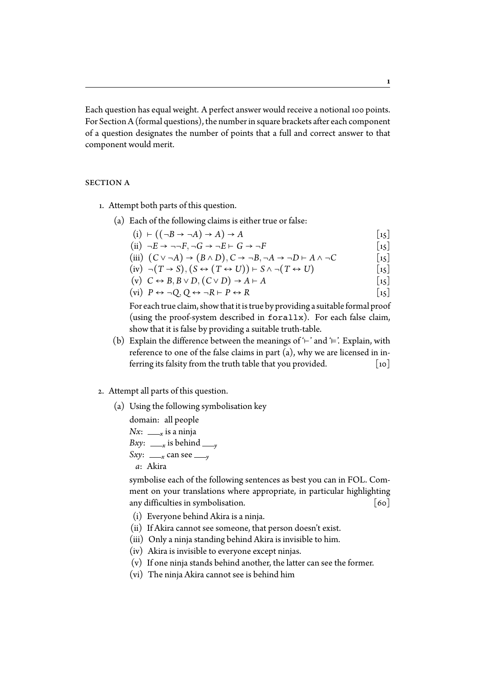Each question has equal weight. A perfect answer would receive a notional 100 points. For Section A (formal questions), the number in square brackets after each component of a question designates the number of points that a full and correct answer to that component would merit.

## SECTION A

- 1. Attempt both parts of this question.
	- (a) Each of the following claims is either true or false:

| $(i)$ $\vdash ((\neg B \rightarrow \neg A) \rightarrow A) \rightarrow A$                                                                          | $[15]$          |
|---------------------------------------------------------------------------------------------------------------------------------------------------|-----------------|
| $f(\mathbf{i})$ $\mathbf{E}$ $\mathbf{C}$ $\mathbf{E}$ $\mathbf{C}$ $\mathbf{C}$ $\mathbf{E}$ $\mathbf{C}$ $\mathbf{C}$ $\mathbf{C}$ $\mathbf{E}$ | $\lceil \rceil$ |

- (ii)  $\neg E \rightarrow \neg \neg F, \neg G \rightarrow \neg E \vdash G \rightarrow \neg F$  [15]<br>(iii)  $(C \lor \neg A) \rightarrow (B \land D), C \rightarrow \neg B, \neg A \rightarrow \neg D \vdash A \land \neg C$  [15]
- (iii)  $(C \lor \neg A) \rightarrow (B \land D), C \rightarrow \neg B, \neg A \rightarrow \neg D \vdash A \land \neg C$  [15]<br>(iv)  $\neg (T \rightarrow S), (S \leftrightarrow (T \leftrightarrow U)) \vdash S \land \neg (T \leftrightarrow U)$  [15]
- (iv)  $\neg(T \rightarrow S), (S \leftrightarrow (T \leftrightarrow U)) \vdash S \land \neg(T \leftrightarrow U)$  [15]<br>
(v)  $C \leftrightarrow B, B \lor D, (C \lor D) \rightarrow A \vdash A$  [15]
- (v)  $C \leftrightarrow B, B \lor D, (C \lor D) \to A \vdash A$  [15]<br>
(vi)  $P \leftrightarrow \neg Q, Q \leftrightarrow \neg R \vdash P \leftrightarrow R$  [15] (vi)  $P \leftrightarrow \neg Q, Q \leftrightarrow \neg R \vdash P \leftrightarrow R$

For each true claim, show that it is true by providing a suitable formal proof (using the proof-system described in forallx). For each false claim, show that it is false by providing a suitable truth-table.

- (b) Explain the difference between the meanings of '⊢' and '⊧'. Explain, with reference to one of the false claims in part (a), why we are licensed in inferring its falsity from the truth table that you provided.  $[10]$
- Ʀ. Attempt all parts of this question.
	- (a) Using the following symbolisation key

domain: all people  $Nx: \_\_\ x$  is a ninja *Bxy*:  $\frac{y}{x}$  is behind  $\frac{y}{y}$  $Sxy: \_\_\ x$  can see  $\_\_\ y$ *a*: Akira

symbolise each of the following sentences as best you can in FOL. Comment on your translations where appropriate, in particular highlighting any difficulties in symbolisation.  $[60]$ 

- (i) Everyone behind Akira is a ninja.
- (ii) If Akira cannot see someone, that person doesn't exist.
- (iii) Only a ninja standing behind Akira is invisible to him.
- (iv) Akira is invisible to everyone except ninjas.
- (v) If one ninja stands behind another, the latter can see the former.
- (vi) The ninja Akira cannot see is behind him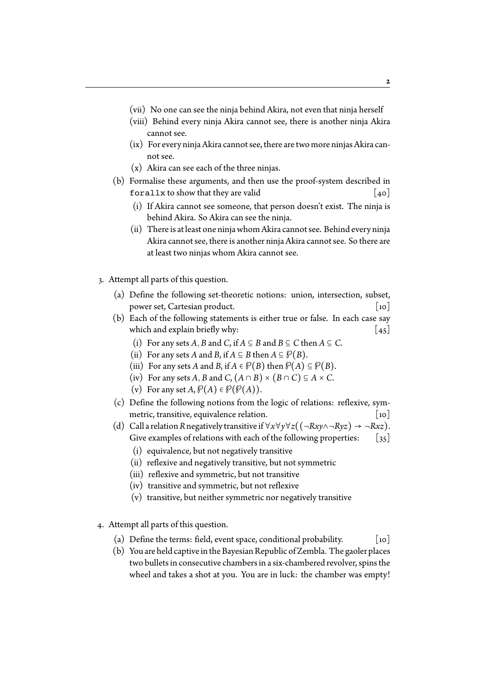- (vii) No one can see the ninja behind Akira, not even that ninja herself
- (viii) Behind every ninja Akira cannot see, there is another ninja Akira cannot see.
- (ix) For every ninja Akira cannot see, there aretwo more ninjas Akira cannot see.
- (x) Akira can see each of the three ninjas.
- (b) Formalise these arguments, and then use the proof-system described in for all x to show that they are valid  $\begin{bmatrix} 40 \end{bmatrix}$ 
	- (i) If Akira cannot see someone, that person doesn't exist. The ninja is behind Akira. So Akira can see the ninja.
	- (ii) There is at least one ninja whom Akira cannot see. Behind every ninja Akira cannot see, there is another ninja Akira cannot see. So there are at least two ninjas whom Akira cannot see.
- Ƨ. Attempt all parts of this question.
	- (a) Define the following set-theoretic notions: union, intersection, subset, power set, Cartesian product.  $\begin{bmatrix} 10 \end{bmatrix}$
	- (b) Each of the following statements is either true or false. In each case say which and explain briefly why:  $\begin{bmatrix} 45 \end{bmatrix}$ 
		- (i) For any sets *A*, *B* and *C*, if  $A \subseteq B$  and  $B \subseteq C$  then  $A \subseteq C$ .
		- (ii) For any sets *A* and *B*, if  $A \subseteq B$  then  $A \subseteq \mathcal{P}(B)$ .
		- (iii) For any sets *A* and *B*, if  $A \in \mathcal{P}(B)$  then  $\mathcal{P}(A) \subseteq \mathcal{P}(B)$ .
		- (iv) For any sets *A*, *B* and *C*,  $(A \cap B) \times (B \cap C) \subseteq A \times C$ .
		- (v) For any set  $A, \mathcal{P}(A) \in \mathcal{P}(\mathcal{P}(A))$ .
	- (c) Define the following notions from the logic of relations: reflexive, symmetric, transitive, equivalence relation.  $\lceil$  [10]
	- (d) Call a relation *R* negatively transitive if  $\forall x \forall y \forall z ((\neg Rxy \land \neg Ryz) \rightarrow \neg Rxz)$ .<br>Give examples of relations with each of the following properties: [35] Give examples of relations with each of the following properties:
		- (i) equivalence, but not negatively transitive
		- (ii) reflexive and negatively transitive, but not symmetric
		- (iii) reflexive and symmetric, but not transitive
		- (iv) transitive and symmetric, but not reflexive
		- (v) transitive, but neither symmetric nor negatively transitive
- ƨ. Attempt all parts of this question.
	- (a) Define the terms: field, event space, conditional probability.  $[10]$
	- (b) You are held captive inthe Bayesian Republic of Zembla. The gaoler places two bullets in consecutive chambers in a six-chambered revolver, spins the wheel and takes a shot at you. You are in luck: the chamber was empty!